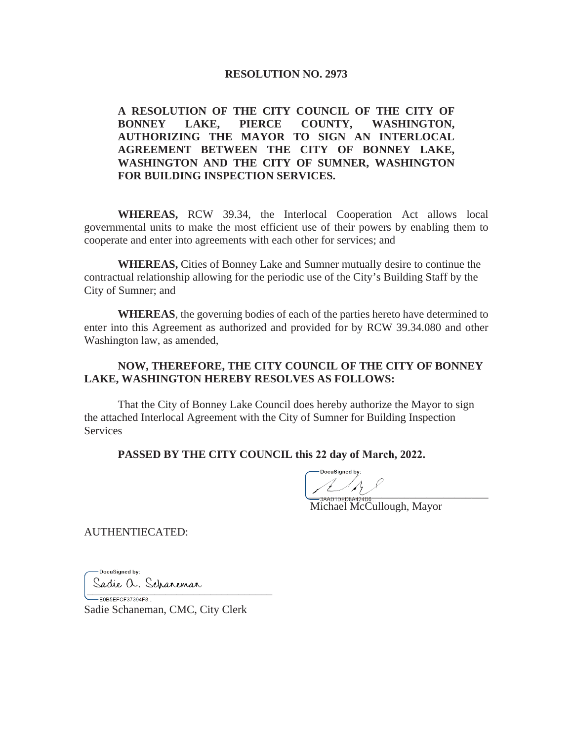### **RESOLUTION NO. 2973**

**A RESOLUTION OF THE CITY COUNCIL OF THE CITY OF BONNEY LAKE, PIERCE COUNTY, WASHINGTON, AUTHORIZING THE MAYOR TO SIGN AN INTERLOCAL AGREEMENT BETWEEN THE CITY OF BONNEY LAKE, WASHINGTON AND THE CITY OF SUMNER, WASHINGTON FOR BUILDING INSPECTION SERVICES.** 

**WHEREAS,** RCW 39.34, the Interlocal Cooperation Act allows local governmental units to make the most efficient use of their powers by enabling them to cooperate and enter into agreements with each other for services; and

**WHEREAS,** Cities of Bonney Lake and Sumner mutually desire to continue the contractual relationship allowing for the periodic use of the City's Building Staff by the City of Sumner; and

**WHEREAS**, the governing bodies of each of the parties hereto have determined to enter into this Agreement as authorized and provided for by RCW 39.34.080 and other Washington law, as amended,

# **NOW, THEREFORE, THE CITY COUNCIL OF THE CITY OF BONNEY LAKE, WASHINGTON HEREBY RESOLVES AS FOLLOWS:**

That the City of Bonney Lake Council does hereby authorize the Mayor to sign the attached Interlocal Agreement with the City of Sumner for Building Inspection **Services** 

#### **PASSED BY THE CITY COUNCIL this 22 day of March, 2022.**

 $\frac{1}{2}$ 

Michael McCullough, Mayor

AUTHENTIECATED:

- DocuSianed by: Sadie O. Scharemar<br>EEOBSEFCF37394F8

Sadie Schaneman, CMC, City Clerk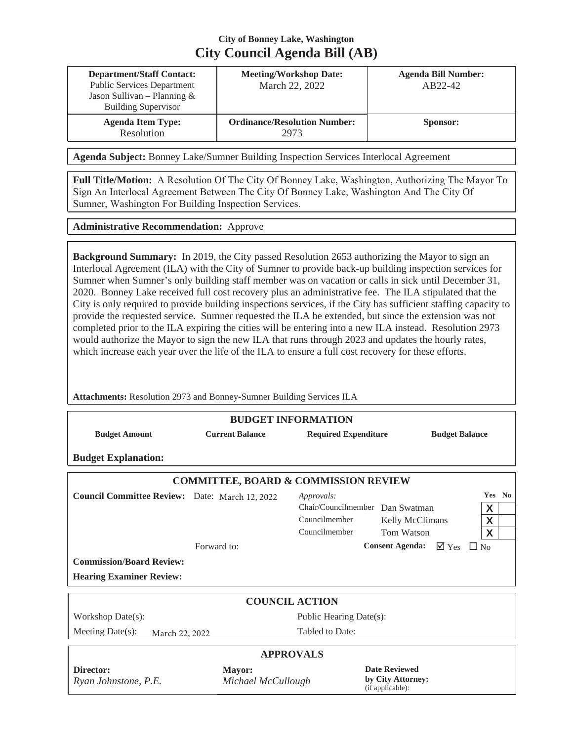# **City of Bonney Lake, Washington City Council Agenda Bill (AB)**

| <b>Department/Staff Contact:</b><br><b>Public Services Department</b><br>Jason Sullivan – Planning $&$<br><b>Building Supervisor</b> | <b>Meeting/Workshop Date:</b><br>March 22, 2022 | <b>Agenda Bill Number:</b><br>AB22-42 |
|--------------------------------------------------------------------------------------------------------------------------------------|-------------------------------------------------|---------------------------------------|
| <b>Agenda Item Type:</b><br>Resolution                                                                                               | <b>Ordinance/Resolution Number:</b><br>2973     | Sponsor:                              |

**Agenda Subject:** Bonney Lake/Sumner Building Inspection Services Interlocal Agreement

**Full Title/Motion:** A Resolution Of The City Of Bonney Lake, Washington, Authorizing The Mayor To Sign An Interlocal Agreement Between The City Of Bonney Lake, Washington And The City Of Sumner, Washington For Building Inspection Services.

**Administrative Recommendation:** Approve

**Background Summary:** In 2019, the City passed Resolution 2653 authorizing the Mayor to sign an Interlocal Agreement (ILA) with the City of Sumner to provide back-up building inspection services for Sumner when Sumner's only building staff member was on vacation or calls in sick until December 31, 2020. Bonney Lake received full cost recovery plus an administrative fee. The ILA stipulated that the City is only required to provide building inspections services, if the City has sufficient staffing capacity to provide the requested service. Sumner requested the ILA be extended, but since the extension was not completed prior to the ILA expiring the cities will be entering into a new ILA instead. Resolution 2973 would authorize the Mayor to sign the new ILA that runs through 2023 and updates the hourly rates, which increase each year over the life of the ILA to ensure a full cost recovery for these efforts.

**Attachments:** Resolution 2973 and Bonney-Sumner Building Services ILA

| <b>BUDGET INFORMATION</b>                                                         |                              |                                                                                 |                                                               |                        |                       |  |  |
|-----------------------------------------------------------------------------------|------------------------------|---------------------------------------------------------------------------------|---------------------------------------------------------------|------------------------|-----------------------|--|--|
| <b>Budget Amount</b>                                                              | <b>Current Balance</b>       | <b>Required Expenditure</b><br><b>Budget Balance</b>                            |                                                               |                        |                       |  |  |
| <b>Budget Explanation:</b>                                                        |                              |                                                                                 |                                                               |                        |                       |  |  |
| <b>COMMITTEE, BOARD &amp; COMMISSION REVIEW</b>                                   |                              |                                                                                 |                                                               |                        |                       |  |  |
| Council Committee Review: Date: March 12, 2022<br><b>Commission/Board Review:</b> | Forward to:                  | Approvals:<br>Chair/Councilmember Dan Swatman<br>Councilmember<br>Councilmember | Kelly McClimans<br>Tom Watson<br><b>Consent Agenda:</b>       | $\nabla$ Yes $\Box$ No | Yes No<br>X<br>X<br>X |  |  |
| <b>Hearing Examiner Review:</b>                                                   |                              |                                                                                 |                                                               |                        |                       |  |  |
|                                                                                   |                              | <b>COUNCIL ACTION</b>                                                           |                                                               |                        |                       |  |  |
| Workshop Date(s):                                                                 |                              | Public Hearing Date(s):                                                         |                                                               |                        |                       |  |  |
| Meeting Date(s):<br>March 22, 2022                                                | Tabled to Date:              |                                                                                 |                                                               |                        |                       |  |  |
| <b>APPROVALS</b>                                                                  |                              |                                                                                 |                                                               |                        |                       |  |  |
| Director:<br>Ryan Johnstone, P.E.                                                 | Mayor:<br>Michael McCullough |                                                                                 | <b>Date Reviewed</b><br>by City Attorney:<br>(if applicable): |                        |                       |  |  |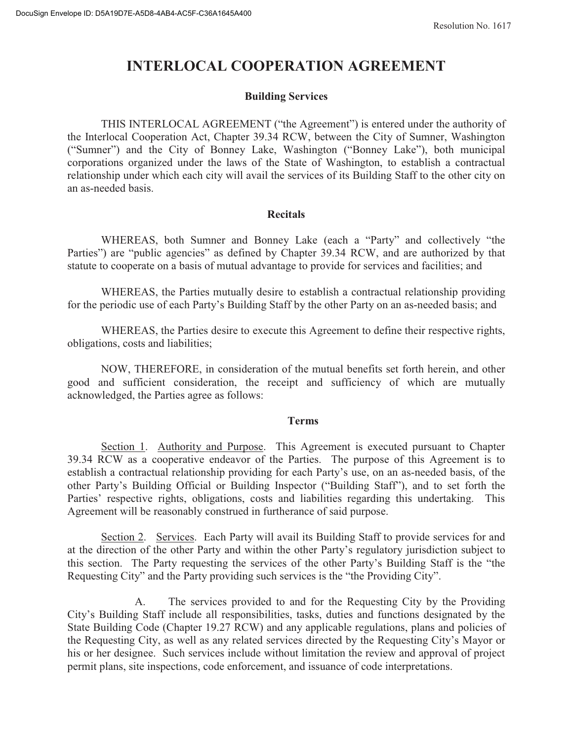# **INTERLOCAL COOPERATION AGREEMENT**

## **Building Services**

THIS INTERLOCAL AGREEMENT ("the Agreement") is entered under the authority of the Interlocal Cooperation Act, Chapter 39.34 RCW, between the City of Sumner, Washington ("Sumner") and the City of Bonney Lake, Washington ("Bonney Lake"), both municipal corporations organized under the laws of the State of Washington, to establish a contractual relationship under which each city will avail the services of its Building Staff to the other city on an as-needed basis.

### **Recitals**

WHEREAS, both Sumner and Bonney Lake (each a "Party" and collectively "the Parties") are "public agencies" as defined by Chapter 39.34 RCW, and are authorized by that statute to cooperate on a basis of mutual advantage to provide for services and facilities; and

WHEREAS, the Parties mutually desire to establish a contractual relationship providing for the periodic use of each Party's Building Staff by the other Party on an as-needed basis; and

WHEREAS, the Parties desire to execute this Agreement to define their respective rights, obligations, costs and liabilities;

NOW, THEREFORE, in consideration of the mutual benefits set forth herein, and other good and sufficient consideration, the receipt and sufficiency of which are mutually acknowledged, the Parties agree as follows:

### **Terms**

Section 1. Authority and Purpose. This Agreement is executed pursuant to Chapter 39.34 RCW as a cooperative endeavor of the Parties. The purpose of this Agreement is to establish a contractual relationship providing for each Party's use, on an as-needed basis, of the other Party's Building Official or Building Inspector ("Building Staff"), and to set forth the Parties' respective rights, obligations, costs and liabilities regarding this undertaking. This Agreement will be reasonably construed in furtherance of said purpose.

Section 2. Services. Each Party will avail its Building Staff to provide services for and at the direction of the other Party and within the other Party's regulatory jurisdiction subject to this section. The Party requesting the services of the other Party's Building Staff is the "the Requesting City" and the Party providing such services is the "the Providing City".

The services provided to and for the Requesting City by the Providing A. City's Building Staff include all responsibilities, tasks, duties and functions designated by the State Building Code (Chapter 19.27 RCW) and any applicable regulations, plans and policies of the Requesting City, as well as any related services directed by the Requesting City's Mayor or his or her designee. Such services include without limitation the review and approval of project permit plans, site inspections, code enforcement, and issuance of code interpretations.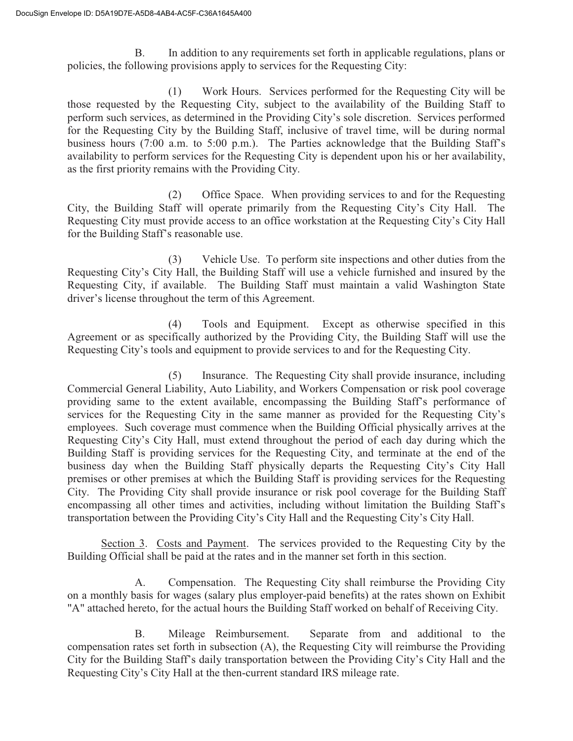$B<sub>r</sub>$ In addition to any requirements set forth in applicable regulations, plans or policies, the following provisions apply to services for the Requesting City:

 $(1)$ Work Hours. Services performed for the Requesting City will be those requested by the Requesting City, subject to the availability of the Building Staff to perform such services, as determined in the Providing City's sole discretion. Services performed for the Requesting City by the Building Staff, inclusive of travel time, will be during normal business hours (7:00 a.m. to 5:00 p.m.). The Parties acknowledge that the Building Staff's availability to perform services for the Requesting City is dependent upon his or her availability, as the first priority remains with the Providing City.

Office Space. When providing services to and for the Requesting  $(2)$ City, the Building Staff will operate primarily from the Requesting City's City Hall. The Requesting City must provide access to an office workstation at the Requesting City's City Hall for the Building Staff's reasonable use.

 $(3)$ Vehicle Use. To perform site inspections and other duties from the Requesting City's City Hall, the Building Staff will use a vehicle furnished and insured by the Requesting City, if available. The Building Staff must maintain a valid Washington State driver's license throughout the term of this Agreement.

Tools and Equipment. Except as otherwise specified in this  $(4)$ Agreement or as specifically authorized by the Providing City, the Building Staff will use the Requesting City's tools and equipment to provide services to and for the Requesting City.

 $(5)$ Insurance. The Requesting City shall provide insurance, including Commercial General Liability, Auto Liability, and Workers Compensation or risk pool coverage providing same to the extent available, encompassing the Building Staff's performance of services for the Requesting City in the same manner as provided for the Requesting City's employees. Such coverage must commence when the Building Official physically arrives at the Requesting City's City Hall, must extend throughout the period of each day during which the Building Staff is providing services for the Requesting City, and terminate at the end of the business day when the Building Staff physically departs the Requesting City's City Hall premises or other premises at which the Building Staff is providing services for the Requesting City. The Providing City shall provide insurance or risk pool coverage for the Building Staff encompassing all other times and activities, including without limitation the Building Staff's transportation between the Providing City's City Hall and the Requesting City's City Hall.

Section 3. Costs and Payment. The services provided to the Requesting City by the Building Official shall be paid at the rates and in the manner set forth in this section.

Compensation. The Requesting City shall reimburse the Providing City  $A_{\cdot}$ on a monthly basis for wages (salary plus employer-paid benefits) at the rates shown on Exhibit "A" attached hereto, for the actual hours the Building Staff worked on behalf of Receiving City.

Separate from and additional to the **B.** Mileage Reimbursement. compensation rates set forth in subsection (A), the Requesting City will reimburse the Providing City for the Building Staff's daily transportation between the Providing City's City Hall and the Requesting City's City Hall at the then-current standard IRS mileage rate.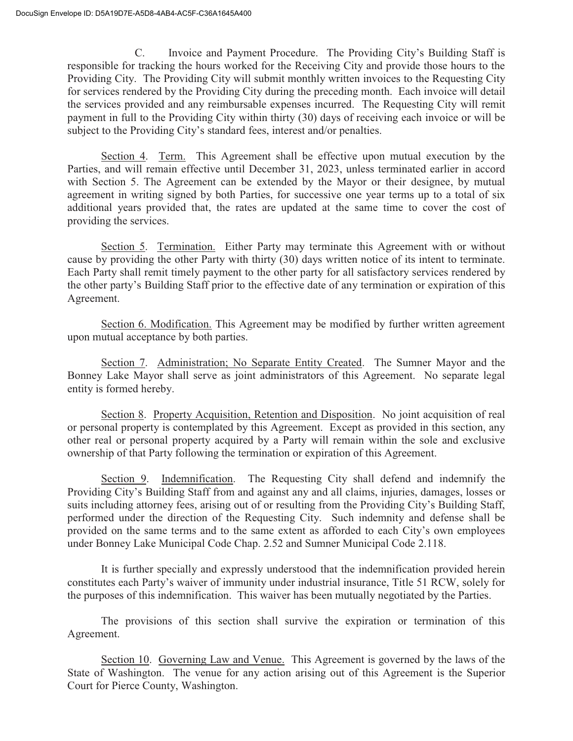$C_{\cdot}$ Invoice and Payment Procedure. The Providing City's Building Staff is responsible for tracking the hours worked for the Receiving City and provide those hours to the Providing City. The Providing City will submit monthly written invoices to the Requesting City for services rendered by the Providing City during the preceding month. Each invoice will detail the services provided and any reimbursable expenses incurred. The Requesting City will remit payment in full to the Providing City within thirty (30) days of receiving each invoice or will be subject to the Providing City's standard fees, interest and/or penalties.

Section 4. Term. This Agreement shall be effective upon mutual execution by the Parties, and will remain effective until December 31, 2023, unless terminated earlier in accord with Section 5. The Agreement can be extended by the Mayor or their designee, by mutual agreement in writing signed by both Parties, for successive one year terms up to a total of six additional years provided that, the rates are updated at the same time to cover the cost of providing the services.

Section 5. Termination. Either Party may terminate this Agreement with or without cause by providing the other Party with thirty (30) days written notice of its intent to terminate. Each Party shall remit timely payment to the other party for all satisfactory services rendered by the other party's Building Staff prior to the effective date of any termination or expiration of this Agreement.

Section 6. Modification. This Agreement may be modified by further written agreement upon mutual acceptance by both parties.

Section 7. Administration; No Separate Entity Created. The Sumner Mayor and the Bonney Lake Mayor shall serve as joint administrators of this Agreement. No separate legal entity is formed hereby.

Section 8. Property Acquisition, Retention and Disposition. No joint acquisition of real or personal property is contemplated by this Agreement. Except as provided in this section, any other real or personal property acquired by a Party will remain within the sole and exclusive ownership of that Party following the termination or expiration of this Agreement.

Section 9. Indemnification. The Requesting City shall defend and indemnify the Providing City's Building Staff from and against any and all claims, injuries, damages, losses or suits including attorney fees, arising out of or resulting from the Providing City's Building Staff, performed under the direction of the Requesting City. Such indemnity and defense shall be provided on the same terms and to the same extent as afforded to each City's own employees under Bonney Lake Municipal Code Chap. 2.52 and Sumner Municipal Code 2.118.

It is further specially and expressly understood that the indemnification provided herein constitutes each Party's waiver of immunity under industrial insurance, Title 51 RCW, solely for the purposes of this indemnification. This waiver has been mutually negotiated by the Parties.

The provisions of this section shall survive the expiration or termination of this Agreement.

Section 10. Governing Law and Venue. This Agreement is governed by the laws of the State of Washington. The venue for any action arising out of this Agreement is the Superior Court for Pierce County, Washington.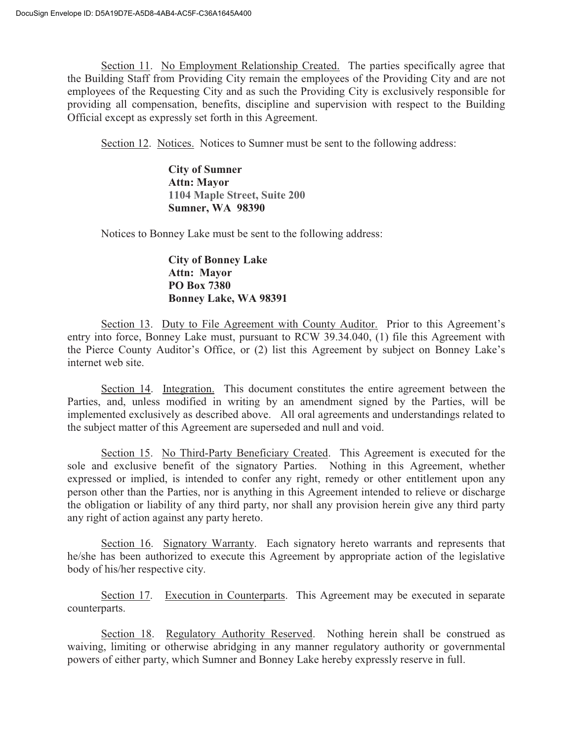Section 11. No Employment Relationship Created. The parties specifically agree that the Building Staff from Providing City remain the employees of the Providing City and are not employees of the Requesting City and as such the Providing City is exclusively responsible for providing all compensation, benefits, discipline and supervision with respect to the Building Official except as expressly set forth in this Agreement.

Section 12. Notices. Notices to Sumner must be sent to the following address:

**City of Sumner Attn: Mavor** 1104 Maple Street, Suite 200 **Sumner, WA 98390** 

Notices to Bonney Lake must be sent to the following address:

# **City of Bonney Lake Attn: Mayor PO Box 7380** Bonney Lake, WA 98391

Section 13. Duty to File Agreement with County Auditor. Prior to this Agreement's entry into force, Bonney Lake must, pursuant to RCW 39.34.040, (1) file this Agreement with the Pierce County Auditor's Office, or (2) list this Agreement by subject on Bonney Lake's internet web site.

Section 14. Integration. This document constitutes the entire agreement between the Parties, and, unless modified in writing by an amendment signed by the Parties, will be implemented exclusively as described above. All oral agreements and understandings related to the subject matter of this Agreement are superseded and null and void.

Section 15. No Third-Party Beneficiary Created. This Agreement is executed for the sole and exclusive benefit of the signatory Parties. Nothing in this Agreement, whether expressed or implied, is intended to confer any right, remedy or other entitlement upon any person other than the Parties, nor is anything in this Agreement intended to relieve or discharge the obligation or liability of any third party, nor shall any provision herein give any third party any right of action against any party hereto.

Section 16. Signatory Warranty. Each signatory hereto warrants and represents that he/she has been authorized to execute this Agreement by appropriate action of the legislative body of his/her respective city.

Section 17. Execution in Counterparts. This Agreement may be executed in separate counterparts.

Section 18. Regulatory Authority Reserved. Nothing herein shall be construed as waiving, limiting or otherwise abridging in any manner regulatory authority or governmental powers of either party, which Sumner and Bonney Lake hereby expressly reserve in full.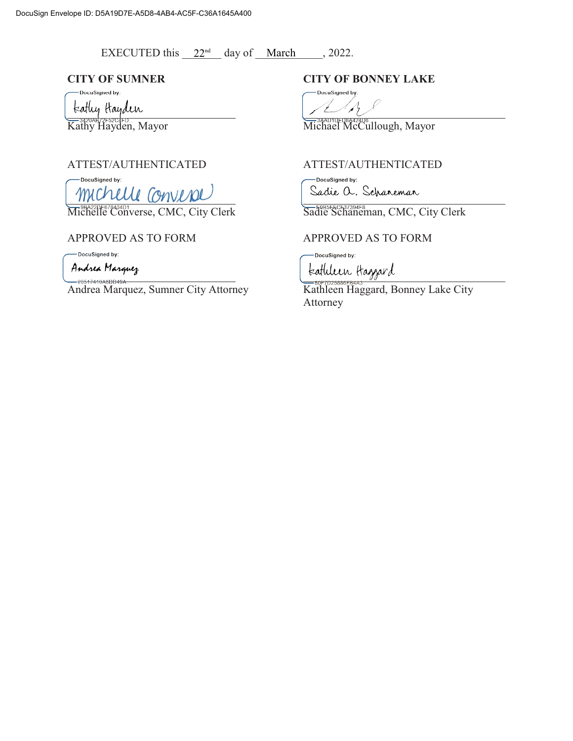EXECUTED this  $22<sup>nd</sup>$  day of <u>March</u>, 2022.

-<br>DocuSigned by:

teatly trayden

DocuSigned by: michelle converse

Michelle Converse, CMC, City Clerk<br>Michelle Converse, CMC, City Clerk<br>Sadie Schaneman, CMC, City Clerk

-DocuSigned by:

Andrea Marquez

Andrea Marquez, Sumner City Attorney Kathleen Haggard, Bonney Lake City

# **CITY OF SUMNER CITY OF BONNEY LAKE**

DocuSigned by:  $\mathcal{A}_{\mathcal{C}}$ 

And the second of the second of the second of the second of the second of the second  $\overline{\text{Michael McCullough, Mayor}}$ 

# ${\bf ATTEST/AUTHENTICATED} {\bf ATTEST/AUTHENTICATED}$

-DocuSigned by: Sadie a. Scharemar

# APPROVED AS TO FORM APPROVED AS TO FORM

DocuSigned by:

teathleen Haggard

Attorney